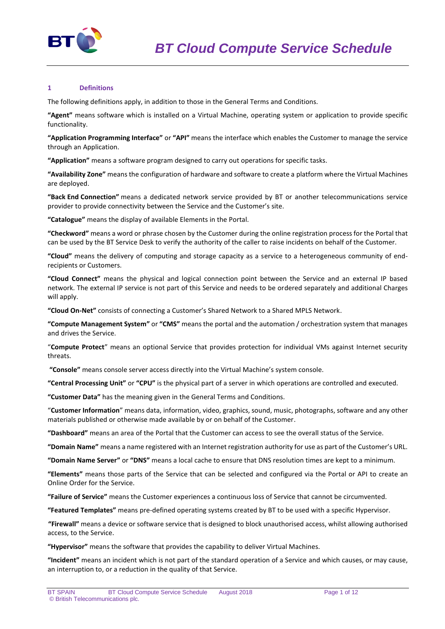

## **1 Definitions**

The following definitions apply, in addition to those in the General Terms and Conditions.

**"Agent"** means software which is installed on a Virtual Machine, operating system or application to provide specific functionality.

**"Application Programming Interface"** or **"API"** means the interface which enables the Customer to manage the service through an Application.

**"Application"** means a software program designed to carry out operations for specific tasks.

**"Availability Zone"** means the configuration of hardware and software to create a platform where the Virtual Machines are deployed.

**"Back End Connection"** means a dedicated network service provided by BT or another telecommunications service provider to provide connectivity between the Service and the Customer's site.

**"Catalogue"** means the display of available Elements in the Portal.

**"Checkword"** means a word or phrase chosen by the Customer during the online registration process for the Portal that can be used by the BT Service Desk to verify the authority of the caller to raise incidents on behalf of the Customer.

**"Cloud"** means the delivery of computing and storage capacity as a service to a heterogeneous community of endrecipients or Customers.

**"Cloud Connect"** means the physical and logical connection point between the Service and an external IP based network. The external IP service is not part of this Service and needs to be ordered separately and additional Charges will apply.

**"Cloud On-Net"** consists of connecting a Customer's Shared Network to a Shared MPLS Network.

**"Compute Management System"** or **"CMS"** means the portal and the automation / orchestration system that manages and drives the Service.

"**Compute Protect**" means an optional Service that provides protection for individual VMs against Internet security threats.

**"Console"** means console server access directly into the Virtual Machine's system console.

**"Central Processing Unit"** or **"CPU"** is the physical part of a server in which operations are controlled and executed.

**"Customer Data"** has the meaning given in the General Terms and Conditions.

"**Customer Information**" means data, information, video, graphics, sound, music, photographs, software and any other materials published or otherwise made available by or on behalf of the Customer.

**"Dashboard"** means an area of the Portal that the Customer can access to see the overall status of the Service.

**"Domain Name"** means a name registered with an Internet registration authority for use as part of the Customer's URL.

**"Domain Name Server"** or **"DNS"** means a local cache to ensure that DNS resolution times are kept to a minimum.

**"Elements"** means those parts of the Service that can be selected and configured via the Portal or API to create an Online Order for the Service.

**"Failure of Service"** means the Customer experiences a continuous loss of Service that cannot be circumvented.

**"Featured Templates"** means pre-defined operating systems created by BT to be used with a specific Hypervisor.

**"Firewall"** means a device or software service that is designed to block unauthorised access, whilst allowing authorised access, to the Service.

**"Hypervisor"** means the software that provides the capability to deliver Virtual Machines.

**"Incident"** means an incident which is not part of the standard operation of a Service and which causes, or may cause, an interruption to, or a reduction in the quality of that Service.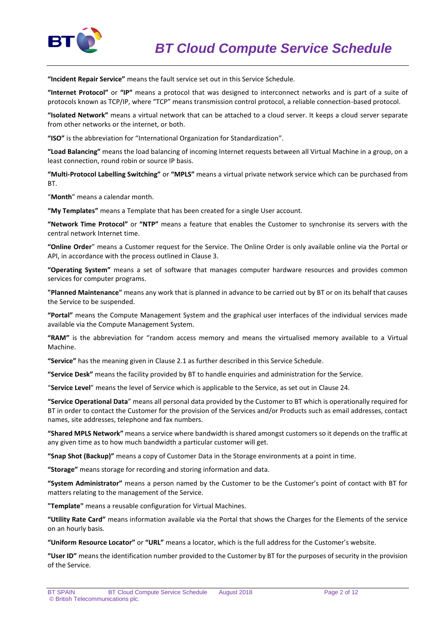

**"Incident Repair Service"** means the fault service set out in this Service Schedule.

**"Internet Protocol"** or **"IP"** means a protocol that was designed to interconnect networks and is part of a suite of protocols known as TCP/IP, where "TCP" means transmission control protocol, a reliable connection-based protocol.

**"Isolated Network"** means a virtual network that can be attached to a cloud server. It keeps a cloud server separate from other networks or the internet, or both.

**"ISO"** is the abbreviation for "International Organization for Standardization".

**"Load Balancing"** means the load balancing of incoming Internet requests between all Virtual Machine in a group, on a least connection, round robin or source IP basis.

**"Multi-Protocol Labelling Switching"** or **"MPLS"** means a virtual private network service which can be purchased from **BT.** 

"**Month**" means a calendar month.

**"My Templates"** means a Template that has been created for a single User account.

**"Network Time Protocol"** or **"NTP"** means a feature that enables the Customer to synchronise its servers with the central network Internet time.

**"Online Order**" means a Customer request for the Service. The Online Order is only available online via the Portal or API, in accordance with the process outlined in Clause 3.

**"Operating System"** means a set of software that manages computer hardware resources and provides common services for computer programs.

**"Planned Maintenance"** means any work that is planned in advance to be carried out by BT or on its behalf that causes the Service to be suspended.

**"Portal"** means the Compute Management System and the graphical user interfaces of the individual services made available via the Compute Management System.

**"RAM"** is the abbreviation for "random access memory and means the virtualised memory available to a Virtual Machine.

**"Service"** has the meaning given in Clause 2.1 as further described in this Service Schedule.

**"Service Desk"** means the facility provided by BT to handle enquiries and administration for the Service.

"**Service Level**" means the level of Service which is applicable to the Service, as set out in Clause 24.

**"Service Operational Data**" means all personal data provided by the Customer to BT which is operationally required for BT in order to contact the Customer for the provision of the Services and/or Products such as email addresses, contact names, site addresses, telephone and fax numbers.

**"Shared MPLS Network"** means a service where bandwidth is shared amongst customers so it depends on the traffic at any given time as to how much bandwidth a particular customer will get.

**"Snap Shot (Backup)"** means a copy of Customer Data in the Storage environments at a point in time.

**"Storage"** means storage for recording and storing information and data.

**"System Administrator"** means a person named by the Customer to be the Customer's point of contact with BT for matters relating to the management of the Service.

**"Template"** means a reusable configuration for Virtual Machines.

**"Utility Rate Card"** means information available via the Portal that shows the Charges for the Elements of the service on an hourly basis.

**"Uniform Resource Locator"** or **"URL"** means a locator, which is the full address for the Customer's website.

**"User ID"** means the identification number provided to the Customer by BT for the purposes of security in the provision of the Service.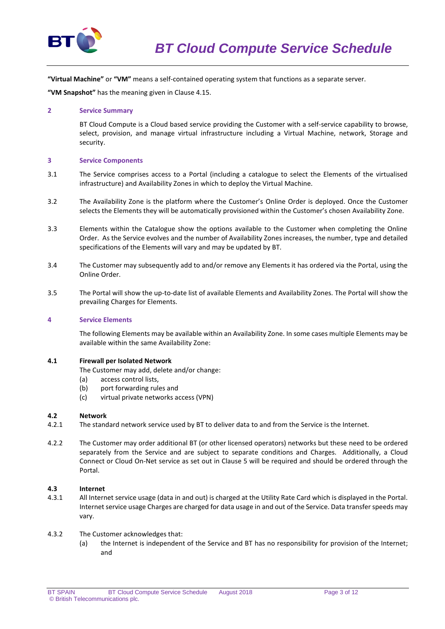

**"Virtual Machine"** or **"VM"** means a self-contained operating system that functions as a separate server.

**"VM Snapshot"** has the meaning given in Clause 4.15.

## **2 Service Summary**

BT Cloud Compute is a Cloud based service providing the Customer with a self-service capability to browse, select, provision, and manage virtual infrastructure including a Virtual Machine, network, Storage and security.

## **3 Service Components**

- 3.1 The Service comprises access to a Portal (including a catalogue to select the Elements of the virtualised infrastructure) and Availability Zones in which to deploy the Virtual Machine.
- 3.2 The Availability Zone is the platform where the Customer's Online Order is deployed. Once the Customer selects the Elements they will be automatically provisioned within the Customer's chosen Availability Zone.
- 3.3 Elements within the Catalogue show the options available to the Customer when completing the Online Order. As the Service evolves and the number of Availability Zones increases, the number, type and detailed specifications of the Elements will vary and may be updated by BT.
- 3.4 The Customer may subsequently add to and/or remove any Elements it has ordered via the Portal, using the Online Order.
- 3.5 The Portal will show the up-to-date list of available Elements and Availability Zones. The Portal will show the prevailing Charges for Elements.

# **4 Service Elements**

The following Elements may be available within an Availability Zone. In some cases multiple Elements may be available within the same Availability Zone:

#### **4.1 Firewall per Isolated Network**

The Customer may add, delete and/or change:

- (a) access control lists,
- (b) port forwarding rules and
- (c) virtual private networks access (VPN)

# **4.2 Network**

- 4.2.1 The standard network service used by BT to deliver data to and from the Service is the Internet.
- 4.2.2 The Customer may order additional BT (or other licensed operators) networks but these need to be ordered separately from the Service and are subject to separate conditions and Charges. Additionally, a Cloud Connect or Cloud On-Net service as set out in Clause 5 will be required and should be ordered through the Portal.

# **4.3 Internet**

- 4.3.1 All Internet service usage (data in and out) is charged at the Utility Rate Card which is displayed in the Portal. Internet service usage Charges are charged for data usage in and out of the Service. Data transfer speeds may vary.
- 4.3.2 The Customer acknowledges that:
	- (a) the Internet is independent of the Service and BT has no responsibility for provision of the Internet; and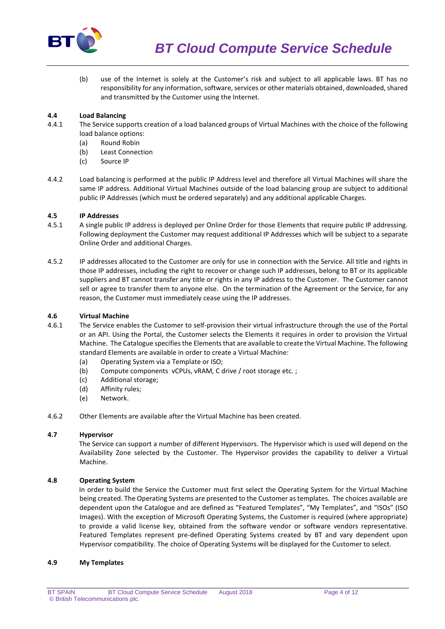

(b) use of the Internet is solely at the Customer's risk and subject to all applicable laws. BT has no responsibility for any information, software, services or other materials obtained, downloaded, shared and transmitted by the Customer using the Internet.

# **4.4 Load Balancing**

- 4.4.1 The Service supports creation of a load balanced groups of Virtual Machines with the choice of the following load balance options:
	- (a) Round Robin
	- (b) Least Connection
	- (c) Source IP
- 4.4.2 Load balancing is performed at the public IP Address level and therefore all Virtual Machines will share the same IP address. Additional Virtual Machines outside of the load balancing group are subject to additional public IP Addresses (which must be ordered separately) and any additional applicable Charges.

# **4.5 IP Addresses**

- 4.5.1 A single public IP address is deployed per Online Order for those Elements that require public IP addressing. Following deployment the Customer may request additional IP Addresses which will be subject to a separate Online Order and additional Charges.
- 4.5.2 IP addresses allocated to the Customer are only for use in connection with the Service. All title and rights in those IP addresses, including the right to recover or change such IP addresses, belong to BT or its applicable suppliers and BT cannot transfer any title or rights in any IP address to the Customer. The Customer cannot sell or agree to transfer them to anyone else. On the termination of the Agreement or the Service, for any reason, the Customer must immediately cease using the IP addresses.

# **4.6 Virtual Machine**

- 4.6.1 The Service enables the Customer to self-provision their virtual infrastructure through the use of the Portal or an API. Using the Portal, the Customer selects the Elements it requires in order to provision the Virtual Machine. The Catalogue specifies the Elements that are available to create the Virtual Machine. The following standard Elements are available in order to create a Virtual Machine:
	- (a) Operating System via a Template or ISO;
	- (b) Compute components vCPUs, vRAM, C drive / root storage etc. ;
	- (c) Additional storage;
	- (d) Affinity rules;
	- (e) Network.
- 4.6.2 Other Elements are available after the Virtual Machine has been created.

# **4.7 Hypervisor**

The Service can support a number of different Hypervisors. The Hypervisor which is used will depend on the Availability Zone selected by the Customer. The Hypervisor provides the capability to deliver a Virtual Machine.

# **4.8 Operating System**

In order to build the Service the Customer must first select the Operating System for the Virtual Machine being created. The Operating Systems are presented to the Customer as templates. The choices available are dependent upon the Catalogue and are defined as "Featured Templates", "My Templates", and "ISOs" (ISO Images). With the exception of Microsoft Operating Systems, the Customer is required (where appropriate) to provide a valid license key, obtained from the software vendor or software vendors representative. Featured Templates represent pre-defined Operating Systems created by BT and vary dependent upon Hypervisor compatibility. The choice of Operating Systems will be displayed for the Customer to select.

# **4.9 My Templates**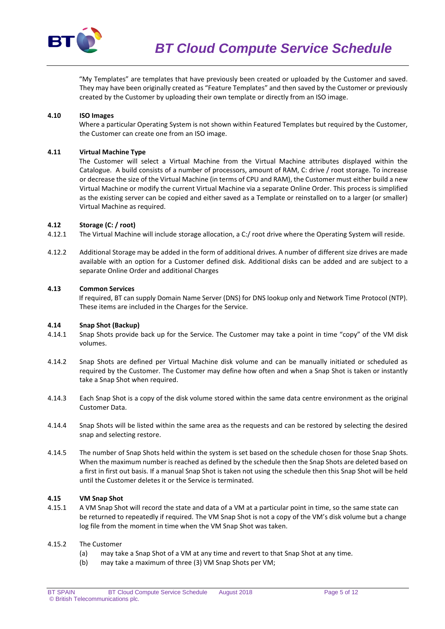

"My Templates" are templates that have previously been created or uploaded by the Customer and saved. They may have been originally created as "Feature Templates" and then saved by the Customer or previously created by the Customer by uploading their own template or directly from an ISO image.

# **4.10 ISO Images**

Where a particular Operating System is not shown within Featured Templates but required by the Customer, the Customer can create one from an ISO image.

## **4.11 Virtual Machine Type**

The Customer will select a Virtual Machine from the Virtual Machine attributes displayed within the Catalogue. A build consists of a number of processors, amount of RAM, C: drive / root storage. To increase or decrease the size of the Virtual Machine (in terms of CPU and RAM), the Customer must either build a new Virtual Machine or modify the current Virtual Machine via a separate Online Order. This process is simplified as the existing server can be copied and either saved as a Template or reinstalled on to a larger (or smaller) Virtual Machine as required.

## **4.12 Storage (C: / root)**

- 4.12.1 The Virtual Machine will include storage allocation, a C:/ root drive where the Operating System will reside.
- 4.12.2 Additional Storage may be added in the form of additional drives. A number of different size drives are made available with an option for a Customer defined disk. Additional disks can be added and are subject to a separate Online Order and additional Charges

## **4.13 Common Services**

If required, BT can supply Domain Name Server (DNS) for DNS lookup only and Network Time Protocol (NTP). These items are included in the Charges for the Service.

#### **4.14 Snap Shot (Backup)**

- 4.14.1 Snap Shots provide back up for the Service. The Customer may take a point in time "copy" of the VM disk volumes.
- 4.14.2 Snap Shots are defined per Virtual Machine disk volume and can be manually initiated or scheduled as required by the Customer. The Customer may define how often and when a Snap Shot is taken or instantly take a Snap Shot when required.
- 4.14.3 Each Snap Shot is a copy of the disk volume stored within the same data centre environment as the original Customer Data.
- 4.14.4 Snap Shots will be listed within the same area as the requests and can be restored by selecting the desired snap and selecting restore.
- 4.14.5 The number of Snap Shots held within the system is set based on the schedule chosen for those Snap Shots. When the maximum number is reached as defined by the schedule then the Snap Shots are deleted based on a first in first out basis. If a manual Snap Shot is taken not using the schedule then this Snap Shot will be held until the Customer deletes it or the Service is terminated.

## **4.15 VM Snap Shot**

4.15.1 A VM Snap Shot will record the state and data of a VM at a particular point in time, so the same state can be returned to repeatedly if required. The VM Snap Shot is not a copy of the VM's disk volume but a change log file from the moment in time when the VM Snap Shot was taken.

# 4.15.2 The Customer

- (a) may take a Snap Shot of a VM at any time and revert to that Snap Shot at any time.
- (b) may take a maximum of three (3) VM Snap Shots per VM;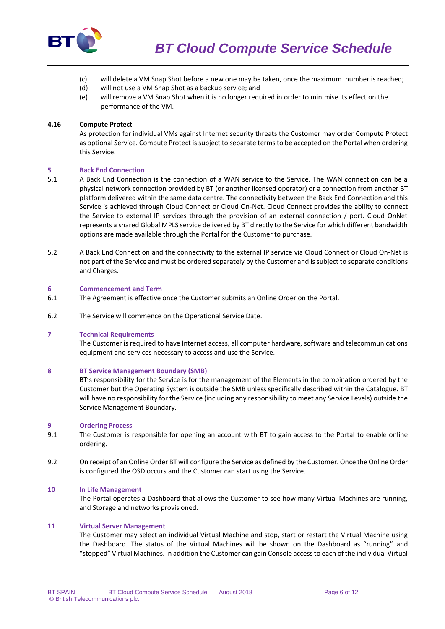

- (c) will delete a VM Snap Shot before a new one may be taken, once the maximum number is reached;
- (d) will not use a VM Snap Shot as a backup service; and
- (e) will remove a VM Snap Shot when it is no longer required in order to minimise its effect on the performance of the VM.

## **4.16 Compute Protect**

As protection for individual VMs against Internet security threats the Customer may order Compute Protect as optional Service. Compute Protect is subject to separate terms to be accepted on the Portal when ordering this Service.

## **5 Back End Connection**

- 5.1 A Back End Connection is the connection of a WAN service to the Service. The WAN connection can be a physical network connection provided by BT (or another licensed operator) or a connection from another BT platform delivered within the same data centre. The connectivity between the Back End Connection and this Service is achieved through Cloud Connect or Cloud On-Net. Cloud Connect provides the ability to connect the Service to external IP services through the provision of an external connection / port. Cloud OnNet represents a shared Global MPLS service delivered by BT directly to the Service for which different bandwidth options are made available through the Portal for the Customer to purchase.
- 5.2 A Back End Connection and the connectivity to the external IP service via Cloud Connect or Cloud On-Net is not part of the Service and must be ordered separately by the Customer and is subject to separate conditions and Charges.

#### **6 Commencement and Term**

- 6.1 The Agreement is effective once the Customer submits an Online Order on the Portal.
- 6.2 The Service will commence on the Operational Service Date.

## **7 Technical Requirements**

The Customer is required to have Internet access, all computer hardware, software and telecommunications equipment and services necessary to access and use the Service.

#### **8 BT Service Management Boundary (SMB)**

BT's responsibility for the Service is for the management of the Elements in the combination ordered by the Customer but the Operating System is outside the SMB unless specifically described within the Catalogue. BT will have no responsibility for the Service (including any responsibility to meet any Service Levels) outside the Service Management Boundary.

#### **9 Ordering Process**

- 9.1 The Customer is responsible for opening an account with BT to gain access to the Portal to enable online ordering.
- 9.2 On receipt of an Online Order BT will configure the Service as defined by the Customer. Once the Online Order is configured the OSD occurs and the Customer can start using the Service.

### **10 In Life Management**

The Portal operates a Dashboard that allows the Customer to see how many Virtual Machines are running, and Storage and networks provisioned.

### **11 Virtual Server Management**

The Customer may select an individual Virtual Machine and stop, start or restart the Virtual Machine using the Dashboard. The status of the Virtual Machines will be shown on the Dashboard as "running" and "stopped" Virtual Machines. In addition the Customer can gain Console access to each of the individual Virtual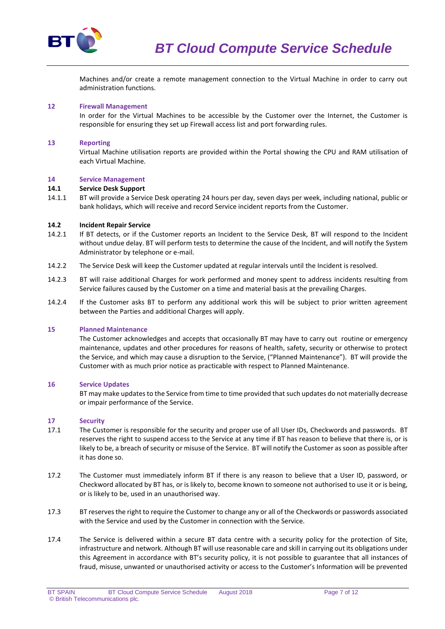

Machines and/or create a remote management connection to the Virtual Machine in order to carry out administration functions.

## **12 Firewall Management**

In order for the Virtual Machines to be accessible by the Customer over the Internet, the Customer is responsible for ensuring they set up Firewall access list and port forwarding rules.

### **13 Reporting**

Virtual Machine utilisation reports are provided within the Portal showing the CPU and RAM utilisation of each Virtual Machine.

### **14 Service Management**

#### **14.1 Service Desk Support**

14.1.1 BT will provide a Service Desk operating 24 hours per day, seven days per week, including national, public or bank holidays, which will receive and record Service incident reports from the Customer.

## **14.2 Incident Repair Service**

- 14.2.1 If BT detects, or if the Customer reports an Incident to the Service Desk, BT will respond to the Incident without undue delay. BT will perform tests to determine the cause of the Incident, and will notify the System Administrator by telephone or e-mail.
- 14.2.2 The Service Desk will keep the Customer updated at regular intervals until the Incident is resolved.
- 14.2.3 BT will raise additional Charges for work performed and money spent to address incidents resulting from Service failures caused by the Customer on a time and material basis at the prevailing Charges.
- 14.2.4 If the Customer asks BT to perform any additional work this will be subject to prior written agreement between the Parties and additional Charges will apply.

#### **15 Planned Maintenance**

The Customer acknowledges and accepts that occasionally BT may have to carry out routine or emergency maintenance, updates and other procedures for reasons of health, safety, security or otherwise to protect the Service, and which may cause a disruption to the Service, ("Planned Maintenance"). BT will provide the Customer with as much prior notice as practicable with respect to Planned Maintenance.

#### **16 Service Updates**

BT may make updates to the Service from time to time provided that such updates do not materially decrease or impair performance of the Service.

#### **17 Security**

- 17.1 The Customer is responsible for the security and proper use of all User IDs, Checkwords and passwords. BT reserves the right to suspend access to the Service at any time if BT has reason to believe that there is, or is likely to be, a breach of security or misuse of the Service. BT will notify the Customer as soon as possible after it has done so.
- 17.2 The Customer must immediately inform BT if there is any reason to believe that a User ID, password, or Checkword allocated by BT has, or is likely to, become known to someone not authorised to use it or is being, or is likely to be, used in an unauthorised way.
- 17.3 BT reserves the right to require the Customer to change any or all of the Checkwords or passwords associated with the Service and used by the Customer in connection with the Service.
- 17.4 The Service is delivered within a secure BT data centre with a security policy for the protection of Site, infrastructure and network. Although BT will use reasonable care and skill in carrying out its obligations under this Agreement in accordance with BT's security policy, it is not possible to guarantee that all instances of fraud, misuse, unwanted or unauthorised activity or access to the Customer's Information will be prevented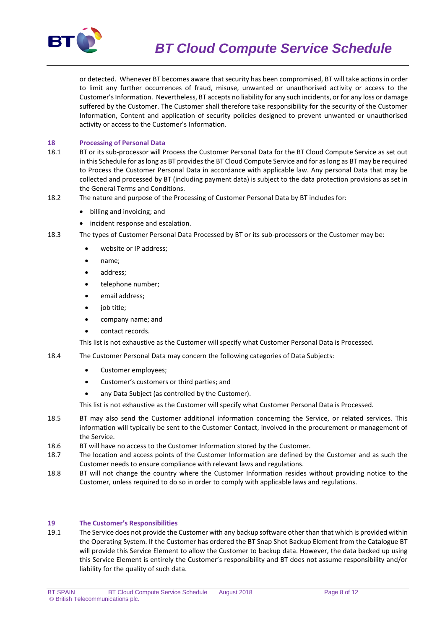

or detected. Whenever BT becomes aware that security has been compromised, BT will take actions in order to limit any further occurrences of fraud, misuse, unwanted or unauthorised activity or access to the Customer's Information. Nevertheless, BT accepts no liability for any such incidents, or for any loss or damage suffered by the Customer. The Customer shall therefore take responsibility for the security of the Customer Information, Content and application of security policies designed to prevent unwanted or unauthorised activity or access to the Customer's Information.

# **18 Processing of Personal Data**

- 18.1 BT or its sub-processor will Process the Customer Personal Data for the BT Cloud Compute Service as set out in this Schedule for as long as BT provides the BT Cloud Compute Service and for as long as BT may be required to Process the Customer Personal Data in accordance with applicable law. Any personal Data that may be collected and processed by BT (including payment data) is subject to the data protection provisions as set in the General Terms and Conditions.
- 18.2 The nature and purpose of the Processing of Customer Personal Data by BT includes for:
	- billing and invoicing; and
	- incident response and escalation.
- 18.3 The types of Customer Personal Data Processed by BT or its sub-processors or the Customer may be:
	- website or IP address;
	- name;
	- address;
	- telephone number;
	- email address;
	- job title;
	- company name; and
	- contact records.

This list is not exhaustive as the Customer will specify what Customer Personal Data is Processed.

- 18.4 The Customer Personal Data may concern the following categories of Data Subjects:
	- Customer employees;
	- Customer's customers or third parties; and
	- any Data Subject (as controlled by the Customer).

This list is not exhaustive as the Customer will specify what Customer Personal Data is Processed.

- 18.5 BT may also send the Customer additional information concerning the Service, or related services. This information will typically be sent to the Customer Contact, involved in the procurement or management of the Service.
- 18.6 BT will have no access to the Customer Information stored by the Customer.
- 18.7 The location and access points of the Customer Information are defined by the Customer and as such the Customer needs to ensure compliance with relevant laws and regulations.
- 18.8 BT will not change the country where the Customer Information resides without providing notice to the Customer, unless required to do so in order to comply with applicable laws and regulations.

#### **19 The Customer's Responsibilities**

19.1 The Service does not provide the Customer with any backup software other than that which is provided within the Operating System. If the Customer has ordered the BT Snap Shot Backup Element from the Catalogue BT will provide this Service Element to allow the Customer to backup data. However, the data backed up using this Service Element is entirely the Customer's responsibility and BT does not assume responsibility and/or liability for the quality of such data.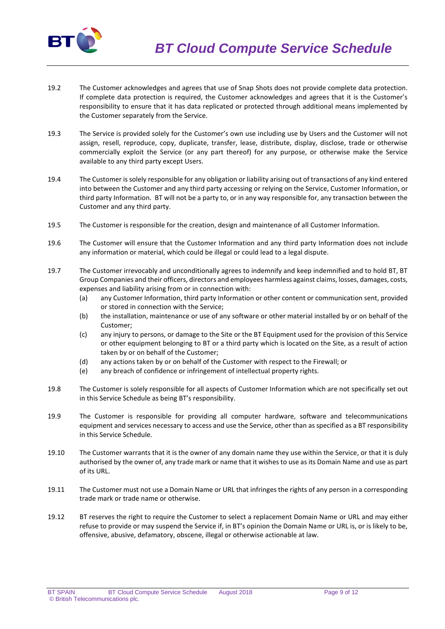

- 19.2 The Customer acknowledges and agrees that use of Snap Shots does not provide complete data protection. If complete data protection is required, the Customer acknowledges and agrees that it is the Customer's responsibility to ensure that it has data replicated or protected through additional means implemented by the Customer separately from the Service.
- 19.3 The Service is provided solely for the Customer's own use including use by Users and the Customer will not assign, resell, reproduce, copy, duplicate, transfer, lease, distribute, display, disclose, trade or otherwise commercially exploit the Service (or any part thereof) for any purpose, or otherwise make the Service available to any third party except Users.
- 19.4 The Customer is solely responsible for any obligation or liability arising out of transactions of any kind entered into between the Customer and any third party accessing or relying on the Service, Customer Information, or third party Information. BT will not be a party to, or in any way responsible for, any transaction between the Customer and any third party.
- 19.5 The Customer is responsible for the creation, design and maintenance of all Customer Information.
- 19.6 The Customer will ensure that the Customer Information and any third party Information does not include any information or material, which could be illegal or could lead to a legal dispute.
- 19.7 The Customer irrevocably and unconditionally agrees to indemnify and keep indemnified and to hold BT, BT Group Companies and their officers, directors and employees harmless against claims, losses, damages, costs, expenses and liability arising from or in connection with:
	- (a) any Customer Information, third party Information or other content or communication sent, provided or stored in connection with the Service;
	- (b) the installation, maintenance or use of any software or other material installed by or on behalf of the Customer;
	- (c) any injury to persons, or damage to the Site or the BT Equipment used for the provision of this Service or other equipment belonging to BT or a third party which is located on the Site, as a result of action taken by or on behalf of the Customer;
	- (d) any actions taken by or on behalf of the Customer with respect to the Firewall; or
	- (e) any breach of confidence or infringement of intellectual property rights.
- 19.8 The Customer is solely responsible for all aspects of Customer Information which are not specifically set out in this Service Schedule as being BT's responsibility.
- 19.9 The Customer is responsible for providing all computer hardware, software and telecommunications equipment and services necessary to access and use the Service, other than as specified as a BT responsibility in this Service Schedule.
- 19.10 The Customer warrants that it is the owner of any domain name they use within the Service, or that it is duly authorised by the owner of, any trade mark or name that it wishes to use as its Domain Name and use as part of its URL.
- 19.11 The Customer must not use a Domain Name or URL that infringes the rights of any person in a corresponding trade mark or trade name or otherwise.
- 19.12 BT reserves the right to require the Customer to select a replacement Domain Name or URL and may either refuse to provide or may suspend the Service if, in BT's opinion the Domain Name or URL is, or is likely to be, offensive, abusive, defamatory, obscene, illegal or otherwise actionable at law.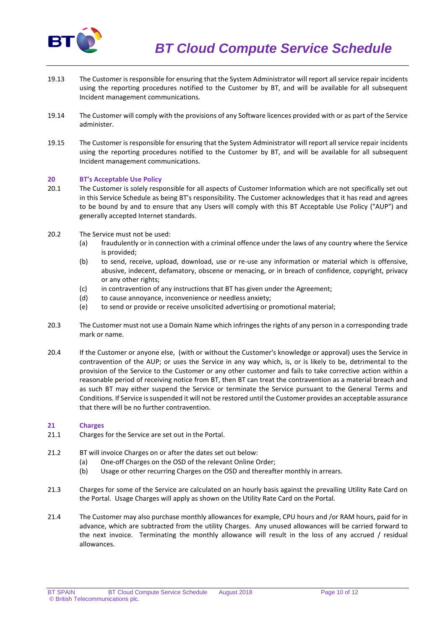

- 19.13 The Customer is responsible for ensuring that the System Administrator will report all service repair incidents using the reporting procedures notified to the Customer by BT, and will be available for all subsequent Incident management communications.
- 19.14 The Customer will comply with the provisions of any Software licences provided with or as part of the Service administer.
- 19.15 The Customer is responsible for ensuring that the System Administrator will report all service repair incidents using the reporting procedures notified to the Customer by BT, and will be available for all subsequent Incident management communications.

# **20 BT's Acceptable Use Policy**

- 20.1 The Customer is solely responsible for all aspects of Customer Information which are not specifically set out in this Service Schedule as being BT's responsibility. The Customer acknowledges that it has read and agrees to be bound by and to ensure that any Users will comply with this BT Acceptable Use Policy ("AUP") and generally accepted Internet standards.
- 20.2 The Service must not be used:
	- (a) fraudulently or in connection with a criminal offence under the laws of any country where the Service is provided;
	- (b) to send, receive, upload, download, use or re-use any information or material which is offensive, abusive, indecent, defamatory, obscene or menacing, or in breach of confidence, copyright, privacy or any other rights;
	- (c) in contravention of any instructions that BT has given under the Agreement;
	- (d) to cause annoyance, inconvenience or needless anxiety;
	- (e) to send or provide or receive unsolicited advertising or promotional material;
- 20.3 The Customer must not use a Domain Name which infringes the rights of any person in a corresponding trade mark or name.
- 20.4 If the Customer or anyone else, (with or without the Customer's knowledge or approval) uses the Service in contravention of the AUP; or uses the Service in any way which, is, or is likely to be, detrimental to the provision of the Service to the Customer or any other customer and fails to take corrective action within a reasonable period of receiving notice from BT, then BT can treat the contravention as a material breach and as such BT may either suspend the Service or terminate the Service pursuant to the General Terms and Conditions. If Service is suspended it will not be restored until the Customer provides an acceptable assurance that there will be no further contravention.

# **21 Charges**

- 21.1 Charges for the Service are set out in the Portal.
- 21.2 BT will invoice Charges on or after the dates set out below:
	- (a) One-off Charges on the OSD of the relevant Online Order;
	- (b) Usage or other recurring Charges on the OSD and thereafter monthly in arrears.
- 21.3 Charges for some of the Service are calculated on an hourly basis against the prevailing Utility Rate Card on the Portal. Usage Charges will apply as shown on the Utility Rate Card on the Portal.
- 21.4 The Customer may also purchase monthly allowances for example, CPU hours and /or RAM hours, paid for in advance, which are subtracted from the utility Charges. Any unused allowances will be carried forward to the next invoice. Terminating the monthly allowance will result in the loss of any accrued / residual allowances.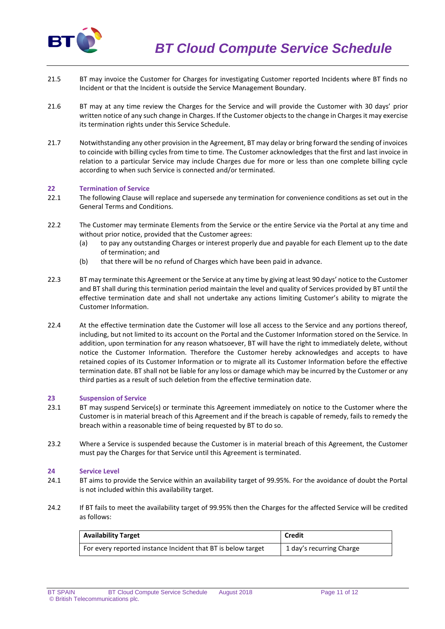

- 21.5 BT may invoice the Customer for Charges for investigating Customer reported Incidents where BT finds no Incident or that the Incident is outside the Service Management Boundary.
- 21.6 BT may at any time review the Charges for the Service and will provide the Customer with 30 days' prior written notice of any such change in Charges. If the Customer objects to the change in Charges it may exercise its termination rights under this Service Schedule.
- 21.7 Notwithstanding any other provision in the Agreement, BT may delay or bring forward the sending of invoices to coincide with billing cycles from time to time. The Customer acknowledges that the first and last invoice in relation to a particular Service may include Charges due for more or less than one complete billing cycle according to when such Service is connected and/or terminated.

# **22 Termination of Service**

- 22.1 The following Clause will replace and supersede any termination for convenience conditions as set out in the General Terms and Conditions.
- 22.2 The Customer may terminate Elements from the Service or the entire Service via the Portal at any time and without prior notice, provided that the Customer agrees:
	- (a) to pay any outstanding Charges or interest properly due and payable for each Element up to the date of termination; and
	- (b) that there will be no refund of Charges which have been paid in advance.
- 22.3 BT may terminate this Agreement or the Service at any time by giving at least 90 days' notice to the Customer and BT shall during this termination period maintain the level and quality of Services provided by BT until the effective termination date and shall not undertake any actions limiting Customer's ability to migrate the Customer Information.
- 22.4 At the effective termination date the Customer will lose all access to the Service and any portions thereof, including, but not limited to its account on the Portal and the Customer Information stored on the Service. In addition, upon termination for any reason whatsoever, BT will have the right to immediately delete, without notice the Customer Information. Therefore the Customer hereby acknowledges and accepts to have retained copies of its Customer Information or to migrate all its Customer Information before the effective termination date. BT shall not be liable for any loss or damage which may be incurred by the Customer or any third parties as a result of such deletion from the effective termination date.

#### **23 Suspension of Service**

- 23.1 BT may suspend Service(s) or terminate this Agreement immediately on notice to the Customer where the Customer is in material breach of this Agreement and if the breach is capable of remedy, fails to remedy the breach within a reasonable time of being requested by BT to do so.
- 23.2 Where a Service is suspended because the Customer is in material breach of this Agreement, the Customer must pay the Charges for that Service until this Agreement is terminated.

#### **24 Service Level**

- 24.1 BT aims to provide the Service within an availability target of 99.95%. For the avoidance of doubt the Portal is not included within this availability target.
- 24.2 If BT fails to meet the availability target of 99.95% then the Charges for the affected Service will be credited as follows:

| <b>Availability Target</b>                                   | <b>Credit</b>            |
|--------------------------------------------------------------|--------------------------|
| For every reported instance Incident that BT is below target | 1 day's recurring Charge |